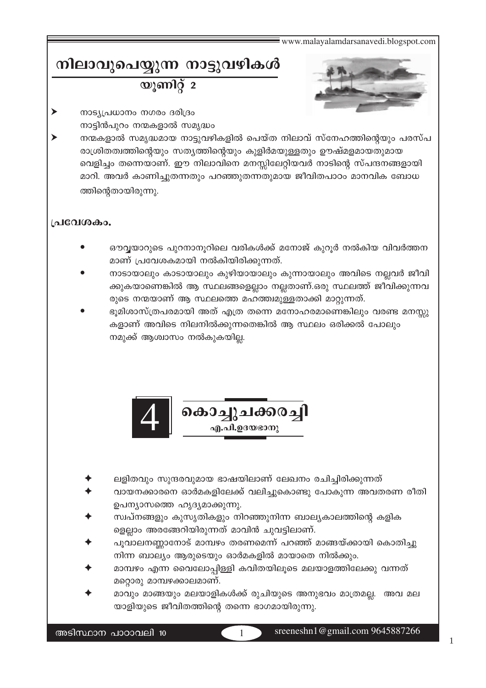# നിലാവുപെയ്യുന്ന നാട്ടുവഴികൾ യുണിറ്റ് 2



- നാട്യപ്രധാനം നഗരം ദരിദ്രം നാട്ടിൻപുറം നന്മകളാൽ സമൃദ്ധം
- നന്മകളാൽ സമൃദ്ധമായ നാട്ടുവഴികളിൽ പെയ്ത നിലാവ് സ്നേഹത്തിന്റെയും പരസ്പ രാശ്രിതത്വത്തിന്റെയും സത്യത്തിന്റെയും കുളിർമയുള്ളതും ഊഷ്മളമായതുമായ വെളിച്ചം തന്നെയാണ്. ഈ നിലാവിനെ മനസ്സിലേറ്റിയവർ നാടിന്റെ സ്പന്ദനങ്ങളായി മാറി. അവർ കാണിച്ചുതന്നതും പറഞ്ഞുതന്നതുമായ ജീവിതപാഠം മാനവിക ബോധ ത്തിന്റെതായിരുന്നു.

## പ്രവേശകം.

- ഔവ്വയാറുടെ പുറനാനുറിലെ വരികൾക്ക് മനോജ് കുറുർ നൽകിയ വിവർത്തന മാണ് പ്രവേശകമായി നൽകിയിരിക്കുന്നത്.
- നാടായാലും കാടായാലും കുഴിയായാലും കുന്നായാലും അവിടെ നല്ലവർ ജീവി ക്കുകയാണെങ്കിൽ ആ സ്ഥലങ്ങളെല്ലാം നല്ലതാണ്.ഒരു സ്ഥലത്ത് ജീവിക്കുന്നവ രുടെ നന്മയാണ് ആ സ്ഥലത്തെ മഹത്ത്വമുള്ളതാക്കി മാറ്റുന്നത്.
- ഭൂമിശാസ്ത്രപരമായി അത് എത്ര തന്നെ മനോഹരമാണെങ്കിലും വരണ്ട മനസ്സു കളാണ് അവിടെ നിലനിൽക്കുന്നതെങ്കിൽ ആ സ്ഥലം ഒരിക്കൽ പോലും നമുക്ക് ആശ്വാസം നൽകുകയില്ല.



- ലളിതവും സുന്ദരവുമായ ഭാഷയിലാണ് ലേഖനം രചിച്ചിരിക്കുന്നത്
- വായനക്കാരനെ ഓർമകളിലേക്ക് വലിച്ചുകൊണ്ടു പോകുന്ന അവതരണ രീതി ഉപന്യാസത്തെ ഹൃദ്യമാക്കുന്നു.
- സ്വപ്നങ്ങളും കുസൃതികളും നിറഞ്ഞുനിന്ന ബാല്യകാലത്തിന്റെ കളിക ളെല്ലാം അരങ്ങേറിയിരുന്നത് മാവിൻ ചുവട്ടിലാണ്.
- പൂവാലനണ്ണാനോട് മാമ്പഴം തരണമെന്ന് പറഞ്ഞ് മാങ്ങയ്ക്കായി കൊതിച്ചു നിന്ന ബാല്യം ആരുടെയും ഓർമകളിൽ മായാതെ നിൽക്കും.
- മാമ്പഴം എന്ന വൈലോപ്പിള്ളി കവിതയിലൂടെ മലയാളത്തിലേക്കു വന്നത് മറ്റൊരു മാമ്പഴക്കാലമാണ്.
- മാവും മാങ്ങയും മലയാളികൾക്ക് രുചിയുടെ അനുഭവം മാത്രമല്ല. അവ മല യാളിയുടെ ജീവിതത്തിന്റെ തന്നെ ഭാഗമായിരുന്നു.

sreeneshn1@gmail.com 9645887266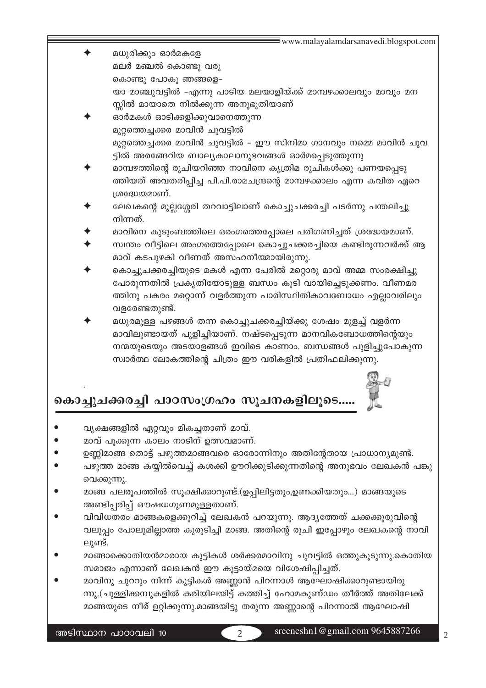- മധുരിക്കും ഓർമകളേ മലർ മഞ്ചൽ കൊണ്ടു വരൂ കൊണ്ടു പോകൂ ഞങ്ങളെ– യാ മാഞ്ചുവട്ടിൽ -എന്നു പാടിയ മലയാളിയ്ക്ക് മാമ്പഴക്കാലവും മാവും മന സ്സിൽ മായാതെ നിൽക്കുന്ന അനുഭൂതിയാണ്
	- ഓർമകൾ ഓടിക്കളിക്കുവാനെത്തുന്ന മുറ്റത്തെച്ചക്കര മാവിൻ ചുവട്ടിൽ മുറ്റത്തെച്ചക്കര മാവിൻ ചുവട്ടിൽ – ഈ സിനിമാ ഗാനവും നമ്മെ മാവിൻ ചുവ ട്ടിൽ അരങ്ങേറിയ ബാല്യകാലാനുഭവങ്ങൾ ഓർമപ്പെടുത്തുന്നു
	- മാമ്പഴത്തിന്റെ രുചിയറിഞ്ഞ നാവിനെ കൃത്രിമ രുചികൾക്കു പണയപ്പെടു ത്തിയത് അവതരിപ്പിച്ച പി.പി.രാമചന്ദ്രന്റെ മാമ്പഴക്കാലം എന്ന കവിത ഏറെ ശ്രദ്ധേയമാണ്.
	- ലേഖകന്റെ മുല്ലശ്ശേരി തറവാട്ടിലാണ് കൊച്ചുചക്കരച്ചി പടർന്നു പന്തലിച്ചു നിന്നത്.
	- മാവിനെ കുടുംബത്തിലെ ഒരംഗത്തെപ്പോലെ പരിഗണിച്ചത് ശ്രദ്ധേയമാണ്.
	- സ്വന്തം വീട്ടിലെ അംഗത്തെപ്പോലെ കൊച്ചുചക്കരച്ചിയെ കണ്ടിരുന്നവർക്ക് ആ മാവ് കടപുഴകി വീണത് അസഹനീയമായിരുന്നു.
	- കൊച്ചുചക്കരച്ചിയുടെ മകൾ എന്ന പേരിൽ മറ്റൊരു മാവ് അമ്മ സംരക്ഷിച്ചു പോരുന്നതിൽ പ്രകൃതിയോടുള്ള ബന്ധം കൂടി വായിച്ചെടുക്കണം. വീണമര ത്തിനു പകരം മറ്റൊന്ന് വളർത്തുന്ന പാരിസ്ഥിതികാവബോധം എല്ലാവരിലും വളരേണ്ടതുണ്ട്.
	- മധുരമുള്ള പഴങ്ങൾ തന്ന കൊച്ചുചക്കരച്ചിയ്ക്കു ശേഷം മുളച്ച് വളർന്ന മാവിലുണ്ടായത് പുളിച്ചിയാണ്. നഷ്ടപ്പെടുന്ന മാനവികബോധത്തിന്റെയും നന്മയുടെയും അടയാളങ്ങൾ ഇവിടെ കാണാം. ബന്ധങ്ങൾ പുളിച്ചുപോകുന്ന സ്വാർത്ഥ ലോകത്തിന്റെ ചിത്രം ഈ വരികളിൽ പ്രതിഫലിക്കുന്നു.

# കൊച്ചുചക്കരച്ചി പാഠസംഗ്രഹം സൂചനകളിലൂടെ....



- മാവ് പൂക്കുന്ന കാലം നാടിന് ഉത്സവമാണ്.
- ഉണ്ണിമാങ്ങ തൊട്ട് പഴുത്തമാങ്ങവരെ ഓരോന്നിനും അതിന്റേതായ പ്രാധാന്യമുണ്ട്.
- പഴുത്ത മാങ്ങ കയ്യിൽവെച്ച് കശക്കി ഊറിക്കുടിക്കുന്നതിന്റെ അനുഭവം ലേഖകൻ പങ്കു വെക്കുന്നു.
- മാങ്ങ പലരൂപത്തിൽ സൂക്ഷിക്കാറുണ്ട്.(ഉപ്പിലിട്ടതും,ഉണക്കിയതും...) മാങ്ങയുടെ അണ്ടിപ്പരിപ്പ് ഔഷധഗുണമുള്ളതാണ്.
- വിവിധതരം മാങ്ങകളെക്കുറിച്ച് ലേഖകൻ പറയുന്നു. ആദ്യത്തേത് ചക്കക്കുരുവിന്റെ വലുപ്പം പോലുമില്ലാത്ത കുരുടിച്ചി മാങ്ങ. അതിന്റെ രുചി ഇപ്പോഴും ലേഖകന്റെ നാവി ലുണ്ട്.
- മാങ്ങാക്കൊതിയൻമാരായ കുട്ടികൾ ശർക്കരമാവിനു ചുവട്ടിൽ ഒത്തുകൂടുന്നു.കൊതിയ സമാജം എന്നാണ് ലേഖകൻ ഈ കൂട്ടായ്മയെ വിശേഷിപ്പിച്ചത്.
- മാവിനു ചുററും നിന്ന് കുട്ടികൾ അണ്ണാൻ പിറന്നാൾ ആഘോഷിക്കാറുണ്ടായിരു ന്നു.(ചുള്ളിക്കമ്പുകളിൽ കരിയിലയിട്ട് കത്തിച്ച് ഹോമകുണ്ഡം തീർത്ത് അതിലേക്ക് മാങ്ങയുടെ നീര് ഉറ്റിക്കുന്നു.മാങ്ങയിട്ടു തരുന്ന അണ്ണാന്റെ പിറന്നാൽ ആഘോഷി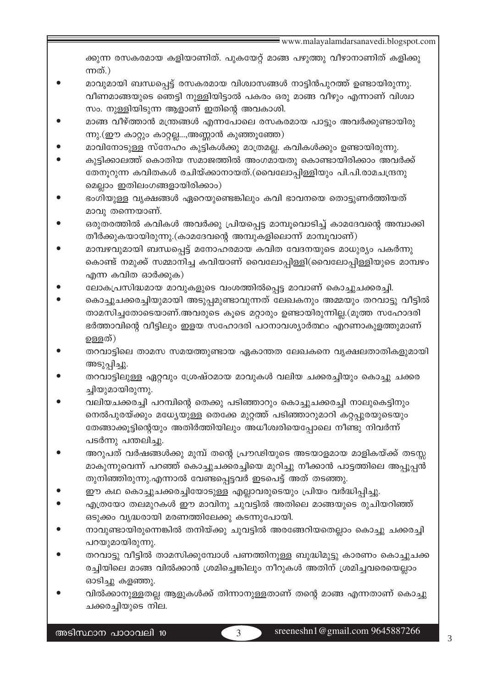ക്കുന്ന രസകരമായ കളിയാണിത്. പുകയേറ്റ് മാങ്ങ പഴുത്തു വീഴാനാണിത് കളിക്കു ന്നത്.)

- മാവുമായി ബന്ധപ്പെട്ട് രസകരമായ വിശ്വാസങ്ങൾ നാട്ടിൻപുറത്ത് ഉണ്ടായിരുന്നു. വീണമാങ്ങയുടെ ഞെട്ടി നുള്ളിയിട്ടാൽ പകരം ഒരു മാങ്ങ വീഴും എന്നാണ് വിശ്വാ സം. നുള്ളിയിടുന്ന ആളാണ് ഇതിന്റെ അവകാശി.
- മാങ്ങ വീഴ്ത്താൻ മന്ത്രങ്ങൾ എന്നപോലെ രസകരമായ പാട്ടും അവർക്കുണ്ടായിരു ന്നു.(ഈ കാറ്റും കാറ്റല്ല...,അണ്ണാൻ കുഞ്ഞൂഞ്ഞേ)
- മാവിനോടുള്ള സ്നേഹം കുട്ടികൾക്കു മാത്രമല്ല. കവികൾക്കും ഉണ്ടായിരുന്നു.
- കുട്ടിക്കാലത്ത് കൊതിയ സമാജത്തിൽ അംഗമായതു കൊണ്ടായിരിക്കാം അവർക്ക് തേനൂറുന്ന കവിതകൾ രചിയ്ക്കാനായത്.(വൈലോപ്പിള്ളിയും പി.പി.രാമചന്ദ്രനു മെല്ലാം ഇതിലംഗങ്ങളായിരിക്കാം)
- ഭംഗിയുള്ള വൃക്ഷങ്ങൾ ഏറെയുണ്ടെങ്കിലും കവി ഭാവനയെ തൊട്ടുണർത്തിയത് മാവു തന്നെയാണ്.
- ഒരുതരത്തിൽ കവികൾ അവർക്കു പ്രിയപ്പെട്ട മാമ്പൂവൊടിച്ച് കാമദേവന്റെ അമ്പാക്കി തീർക്കുകയായിരുന്നു.(കാമദേവന്റെ അമ്പുകളിലൊന്ന് മാമ്പൂവാണ്)
- മാമ്പഴവുമായി ബന്ധപ്പെട്ട് മനോഹരമായ കവിത വേദനയുടെ മാധുര്യം പകർന്നു കൊണ്ട് നമുക്ക് സമ്മാനിച്ച കവിയാണ് വൈലോപ്പിള്ളി(വൈലോപ്പിള്ളിയുടെ മാമ്പഴം എന്ന കവിത ഓർക്കുക)
- ലോകപ്രസിദ്ധമായ മാവുകളുടെ വംശത്തിൽപ്പെട്ട മാവാണ് കൊച്ചുചക്കരച്ചി.
- കൊച്ചുചക്കരച്ചിയുമായി അടുപ്പമുണ്ടാവുന്നത് ലേഖകനും അമ്മയും തറവാട്ടു വീട്ടിൽ താമസിച്ചതോടെയാണ്.അവരുടെ കൂടെ മറ്റാരും ഉണ്ടായിരുന്നില്ല.(മൂത്ത സഹോദരി ഭർത്താവിന്റെ വീട്ടിലും ഇളയ സഹോദരി പഠനാവശ്യാർത്ഥം എറണാകുളത്തുമാണ് ഉള്ളത്)
- തറവാട്ടിലെ താമസ സമയത്തുണ്ടായ ഏകാന്തത ലേഖകനെ വൃക്ഷലതാതികളുമായി അടുപ്പിച്ചു.
- തറവാട്ടിലുള്ള ഏറ്റവും ശ്രേഷ്ഠമായ മാവുകൾ വലിയ ചക്കരച്ചിയും കൊച്ചു ചക്കര ച്ചിയുമായിരുന്നു.
- വലിയചക്കരച്ചി പറമ്പിന്റെ തെക്കു പടിഞ്ഞാറും കൊച്ചുചക്കരച്ചി നാലുകെട്ടിനും നെൽപുരയ്ക്കും മധ്യേയുള്ള തെക്കേ മുറ്റത്ത് പടിഞ്ഞാറുമാറി കറ്റപ്പുരയുടെയും തേങ്ങാക്കൂട്ടിന്റെയും അതിർത്തിയിലും അധീശ്വരിയെപ്പോലെ നീണ്ടു നിവർന്ന് പടർന്നു പന്തലിച്ചു.
- അറുപത് വർഷങ്ങൾക്കു മുമ്പ് തന്റെ പ്രൗഢിയുടെ അടയാളമായ മാളികയ്ക്ക് തടസ്സ മാകുന്നുവെന്ന് പറഞ്ഞ് കൊച്ചുചക്കരച്ചിയെ മുറിച്ചു നീക്കാൻ പാട്ടത്തിലെ അപ്പൂപ്പൻ തുനിഞ്ഞിരുന്നു.എന്നാൽ വേണ്ടപ്പെട്ടവർ ഇടപെട്ട് അത് തടഞ്ഞു.
- ഈ കഥ കൊച്ചുചക്കരച്ചിയോടുള്ള എല്ലാവരുടെയും പ്രിയം വർദ്ധിപ്പിച്ചു.
- എത്രയോ തലമുറകൾ ഈ മാവിനു ചുവട്ടിൽ അതിലെ മാങ്ങയുടെ രുചിയറിഞ്ഞ് ഒടുക്കം വൃദ്ധരായി മരണത്തിലേക്കു കടന്നുപോയി.
- നാവുണ്ടായിരുന്നെങ്കിൽ തനിയ്ക്കു ചുവട്ടിൽ അരങ്ങേറിയതെല്ലാം കൊച്ചു ചക്കരച്ചി പറയുമായിരുന്നു.
- തറവാട്ടു വീട്ടിൽ താമസിക്കുമ്പോൾ പണത്തിനുള്ള ബുദ്ധിമുട്ടു കാരണം കൊച്ചുചക്ക രച്ചിയിലെ മാങ്ങ വിൽക്കാൻ ശ്രമിച്ചെങ്കിലും നീറുകൾ അതിന് ശ്രമിച്ചവരെയെല്ലാം ഓടിച്ചു കളഞ്ഞു.
- വിൽക്കാനുള്ളതല്ല ആളുകൾക്ക് തിന്നാനുള്ളതാണ് തന്റെ മാങ്ങ എന്നതാണ് കൊച്ചു ചക്കരച്ചിയുടെ നില.

 $\overline{\mathcal{L}}$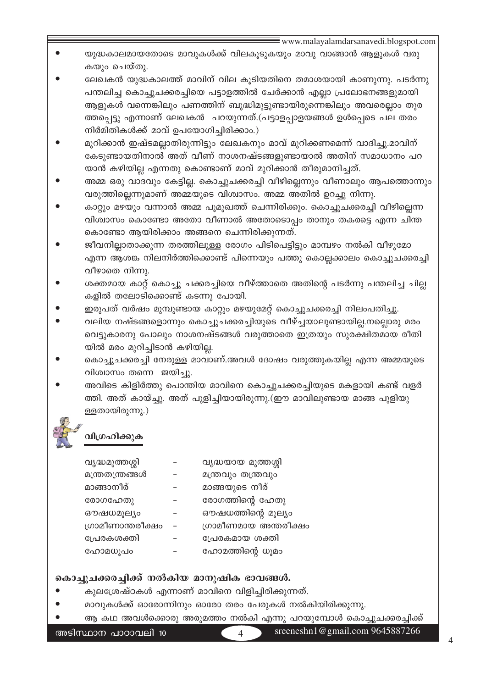- യുദ്ധകാലമായതോടെ മാവുകൾക്ക് വിലകൂടുകയും മാവു വാങ്ങാൻ ആളുകൾ വരു കയും ചെയ്തു.
- ലേഖകൻ യുദ്ധകാലത്ത് മാവിന് വില കൂടിയതിനെ തമാശയായി കാണുന്നു. പടർന്നു പന്തലിച്ച കൊച്ചുചക്കരച്ചിയെ പട്ടാളത്തിൽ ചേർക്കാൻ എല്ലാ പ്രലോഭനങ്ങളുമായി ആളുകൾ വന്നെങ്കിലും പണത്തിന് ബുദ്ധിമുട്ടുണ്ടായിരുന്നെങ്കിലും അവരെല്ലാം തുര ത്തപ്പെട്ടു എന്നാണ് ലേഖകൻ പറയുന്നത്.(പട്ടാളപ്പാളയങ്ങൾ ഉൾപ്പെടെ പല തരം നിർമിതികൾക്ക് മാവ് ഉപയോഗിച്ചിരിക്കാം.)
- മുറിക്കാൻ ഇഷ്ടമല്ലാതിരുന്നിട്ടും ലേഖകനും മാവ് മുറിക്കണമെന്ന് വാദിച്ചു.മാവിന് കേടുണ്ടായതിനാൽ അത് വീണ് നാശനഷ്ടങ്ങളുണ്ടായാൽ അതിന് സമാധാനം പറ യാൻ കഴിയില്ല എന്നതു കൊണ്ടാണ് മാവ് മുറിക്കാൻ തീരുമാനിച്ചത്.
- അമ്മ ഒരു വാദവും കേട്ടില്ല. കൊച്ചുചക്കരച്ചി വീഴില്ലെന്നും വീണാലും ആപത്തൊന്നും വരുത്തില്ലെന്നുമാണ് അമ്മയുടെ വിശ്വാസം. അമ്മ അതിൽ ഉറച്ചു നിന്നു.
- കാറ്റും മഴയും വന്നാൽ അമ്മ പൂമുഖത്ത് ചെന്നിരിക്കും. കൊച്ചുചക്കരച്ചി വീഴില്ലെന്ന വിശ്വാസം കൊണ്ടോ അതോ വീണാൽ അതോടൊപ്പം താനും തകരട്ടെ എന്ന ചിന്ത കൊണ്ടോ ആയിരിക്കാം അങ്ങനെ ചെന്നിരിക്കുന്നത്.
- ജീവനില്ലാതാക്കുന്ന തരത്തിലുള്ള രോഗം പിടിപെട്ടിട്ടും മാമ്പഴം നൽകി വീഴുമോ എന്ന ആശങ്ക നിലനിർത്തിക്കൊണ്ട് പിന്നെയും പത്തു കൊല്ലക്കാലം കൊച്ചുചക്കരച്ചി വീഴാതെ നിന്നു.
- ശക്തമായ കാറ്റ് കൊച്ചു ചക്കരച്ചിയെ വീഴ്ത്താതെ അതിന്റെ പടർന്നു പന്തലിച്ച ചില്ല കളിൽ തലോടിക്കൊണ്ട് കടന്നു പോയി.
- ഇരുപത് വർഷം മുമ്പുണ്ടായ കാറ്റും മഴയുമേറ്റ് കൊച്ചുചക്കരച്ചി നിലംപതിച്ചു.
- വലിയ നഷ്ടങ്ങളൊന്നും കൊച്ചുചക്കരച്ചിയുടെ വീഴ്ച്ചയാലുണ്ടായില്ല.നല്ലൊരു മരം വെട്ടുകാരനു പോലും നാശനഷ്ടങ്ങൾ വരുത്താതെ ഇത്രയും സുരക്ഷിതമായ രീതി യിൽ മരം മുറിച്ചിടാൻ കഴിയില്ല.
- കൊച്ചുചക്കരച്ചി നേരുള്ള മാവാണ്.അവൾ ദോഷം വരുത്തുകയില്ല എന്ന അമ്മയുടെ വിശ്വാസം തന്നെ ജയിച്ചു.
- അവിടെ കിളിർത്തു പൊന്തിയ മാവിനെ കൊച്ചുചക്കരച്ചിയുടെ മകളായി കണ്ട് വളർ ത്തി. അത് കായ്ച്ചു. അത് പുളിച്ചിയായിരുന്നു.(ഈ മാവിലുണ്ടായ മാങ്ങ പുളിയു ള്ളതായിരുന്നു.)

# വിഗ്രഹിക്കുക

| വൃദ്ധമുത്തശ്ശി    | വുദ്ധയായ മുത്തശ്ശി    |
|-------------------|-----------------------|
| മന്ത്രതന്ത്രങ്ങൾ  | മന്ത്രവും തന്ത്രവും   |
| മാങ്ങാനീര്        | മാങ്ങയുടെ നീര്        |
| രോഗഹേതു           | രോഗത്തിന്റെ ഹേതു      |
| ഔഷധമൂല്യം         | ഔഷധത്തിന്റെ മൂല്യം    |
| ഗ്രാമീണാന്തരീക്ഷം | ഗ്രാമീണമായ അന്തരീക്ഷം |
| പ്രേരകശക്തി       | പ്രേരകമായ ശക്തി       |
| ഹോമധൂപം           | ഹോമത്തിന്റെ ധൂമം      |

# കൊച്ചുചക്കരച്ചിക്ക് നൽകിയ മാനുഷിക ഭാവങ്ങൾ.

- കുലശ്രേഷ്ഠകൾ എന്നാണ് മാവിനെ വിളിച്ചിരിക്കുന്നത്.
- മാവുകൾക്ക് ഓരോന്നിനും ഓരോ തരം പേരുകൾ നൽകിയിരിക്കുന്നു.
- ആ കഥ അവൾക്കൊരു അരുമത്തം നൽകി എന്നു പറയുമ്പോൾ കൊച്ചുചക്കരച്ചിക്ക്

അടിസ്ഥാന പാഠാവലി 10

 $\overline{\mathcal{A}}$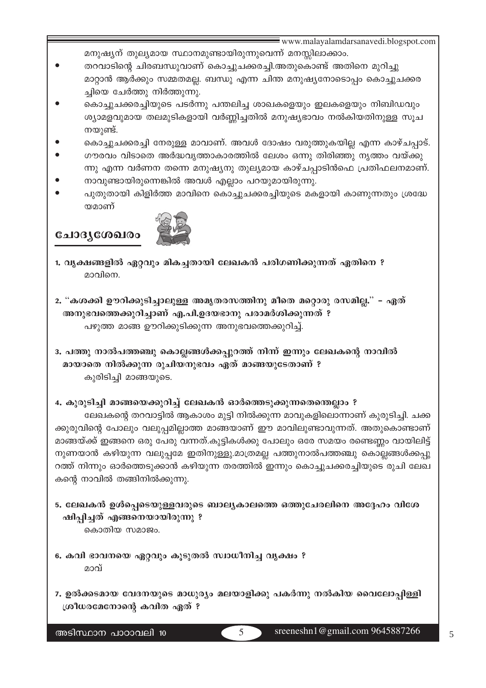- മനുഷ്യന് തുല്യമായ സ്ഥാനമുണ്ടായിരുന്നുവെന്ന് മനസ്സിലാക്കാം.
- തറവാടിന്റെ ചിരബന്ധുവാണ് കൊച്ചുചക്കരച്ചി.അതുകൊണ്ട് അതിനെ മുറിച്ചു മാറ്റാൻ ആർക്കും സമ്മതമല്ല. ബന്ധു എന്ന ചിന്ത മനുഷ്യനോടൊപ്പം കൊച്ചുചക്കര ച്ചിയെ ചേർത്തു നിർത്തുന്നു.
- കൊച്ചുചക്കരച്ചിയുടെ പടർന്നു പന്തലിച്ച ശാഖകളെയും ഇലകളെയും നിബിഡവും ശ്യാമളവുമായ തലമുടികളായി വർണ്ണിച്ചതിൽ മനുഷ്യഭാവം നൽകിയതിനുള്ള സൂച നയുണ്ട്.
- കൊച്ചുചക്കരച്ചി നേരുള്ള മാവാണ്. അവൾ ദോഷം വരുത്തുകയില്ല എന്ന കാഴ്ചപ്പാട്.
- ഗൗരവം വിടാതെ അർദ്ധവൃത്താകാരത്തിൽ ലേശം ഒന്നു തിരിഞ്ഞു നൃത്തം വയ്ക്കു ന്നു എന്ന വർണന തന്നെ മനുഷ്യനു തുല്യമായ കാഴ്ചപ്പാടിൻഫെ പ്രതിഫലനമാണ്.
- നാവുണ്ടായിരുന്നെങ്കിൽ അവൾ എല്ലാം പറയുമായിരുന്നു.
- പുതുതായി കിളിർത്ത മാവിനെ കൊച്ചുചക്കരച്ചിയുടെ മകളായി കാണുന്നതും ശ്രദ്ധേ യമാണ്

ചോദൃശേഖരം



- 1. വൃക്ഷങ്ങളിൽ ഏറ്റവും മികച്ചതായി ലേഖകൻ പരിഗണിക്കുന്നത് ഏതിനെ ? മാവിനെ.
- 2. "കശക്കി ഊറിക്കുടിച്ചാലുള്ള അമൃതരസത്തിനു മീതെ മറ്റൊരു രസമില്ല." ഏത് അനുഭവത്തെക്കുറിച്ചാണ് എ.പി.ഉദയഭാനു പരാമർശിക്കുന്നത് ? പഴുത്ത മാങ്ങ ഊറിക്കുടിക്കുന്ന അനുഭവത്തെക്കുറിച്ച്.
- 3. പത്തു നാൽപത്തഞ്ചു കൊല്ലങ്ങൾക്കപ്പുറത്ത് നിന്ന് ഇന്നും ലേഖകന്റെ നാവിൽ മായാതെ നിൽക്കുന്ന രുചിയനുഭവം ഏത് മാങ്ങയുടേതാണ് ? കുരിടിച്ചി മാങ്ങയുടെ.

### 4. കുരുടിച്ചി മാങ്ങയെക്കുറിച്ച് ലേഖകൻ ഓർത്തെടുക്കുന്നതെന്തെല്ലാം ?

ലേഖകന്റെ തറവാട്ടിൽ ആകാശം മുട്ടി നിൽക്കുന്ന മാവുകളിലൊന്നാണ് കുരുടിച്ചി. ചക്ക ക്കുരുവിന്റെ പോലും വലുപ്പമില്ലാത്ത മാങ്ങയാണ് ഈ മാവിലുണ്ടാവുന്നത്. അതുകൊണ്ടാണ് മാങ്ങയ്ക്ക് ഇങ്ങനെ ഒരു പേരു വന്നത്.കുട്ടികൾക്കു പോലും ഒരേ സമയം രണ്ടെണ്ണം വായിലിട്ട് നുണയാൻ കഴിയുന്ന വലുപ്പമേ ഇതിനുള്ളു.മാത്രമല്ല പത്തുനാൽപത്തഞ്ചു കൊല്ലങ്ങൾക്കപ്പു റത്ത് നിന്നും ഓർത്തെടുക്കാൻ കഴിയുന്ന തരത്തിൽ ഇന്നും കൊച്ചുചക്കരച്ചിയുടെ രുചി ലേഖ കന്റെ നാവിൽ തങ്ങിനിൽക്കുന്നു.

- 5. ലേഖകൻ ഉൾപ്പെടെയുള്ളവരുടെ ബാല്യകാലത്തെ ഒത്തുചേരലിനെ അദ്ദേഹം വിശേ ഷിപ്പിച്ചത് എങ്ങനെയായിരുന്നു ? കൊതിയ സമാജം.
- 6. കവി ഭാവനയെ ഏറ്റവും കൂടുതൽ സ്വാധീനിച്ച വൃക്ഷം ? മാവ്
- 7. ഉൽക്കടമായ വേദനയുടെ മാധുര്യം മലയാളിക്കു പകർന്നു നൽകിയ വൈലോപ്പിള്ളി ശ്രീധരമേനോന്റെ കവിത ഏത് ?

 $\overline{5}$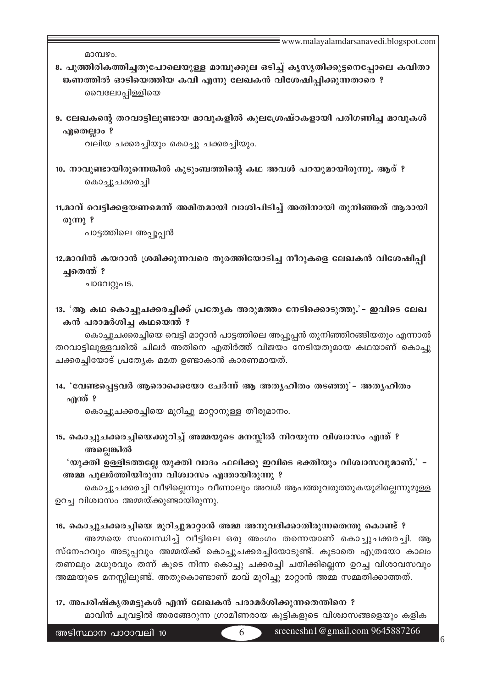| മാമ്പഴം.                                                                                                                                                                                                                                                                                                                                                                                          |
|---------------------------------------------------------------------------------------------------------------------------------------------------------------------------------------------------------------------------------------------------------------------------------------------------------------------------------------------------------------------------------------------------|
| 8. പൂത്തിരികത്തിച്ചതുപോലെയുള്ള മാമ്പൂക്കുല ഒടിച്ച് കൃസൃതിക്കുട്ടനെപ്പോലെ കവിതാ<br>ങ്കണത്തിൽ ഓടിയെത്തിയ കവി എന്നു ലേഖകൻ വിശേഷിപ്പിക്കുന്നതാരെ ?<br>മൈലോപ്പിള്ളിയെ                                                                                                                                                                                                                                  |
| 9. ലേഖകന്റെ തറവാട്ടിലുണ്ടായ മാവുകളിൽ കുലശ്രേഷ്ഠകളായി പരിഗണിച്ച മാവുകൾ<br>ഏതെല്ലാം ?<br>വലിയ ചക്കരച്ചിയും കൊച്ചു ചക്കരച്ചിയും.                                                                                                                                                                                                                                                                     |
| 10. നാവുണ്ടായിരുന്നെങ്കിൽ കുടുംബത്തിന്റെ കഥ അവൾ പറയുമായിരുന്നു. ആര് ?<br>കൊച്ചുചക്കരച്ചി                                                                                                                                                                                                                                                                                                          |
| 11,മാവ് വെട്ടിക്കളയണമെന്ന് അമിതമായി വാശിപിടിച്ച് അതിനായി തുനിഞ്ഞത് ആരായി<br>രുന്നു ?<br>പാട്ടത്തിലെ അപ്പൂപ്പൻ                                                                                                                                                                                                                                                                                     |
| 12.മാവിൽ കയറാൻ ശ്രമിക്കുന്നവരെ തുരത്തിയോടിച്ച നീറുകളെ ലേഖകൻ വിശേഷിപ്പി<br>ച്ചതെന്ത് ?<br>ചാവേറ്റുപട.                                                                                                                                                                                                                                                                                              |
| 13. 'ആ കഥ കൊച്ചുചക്കരച്ചിക്ക് പ്രത്യേക അരുമത്തം നേടിക്കൊടുത്തു.' - ഇവിടെ ലേഖ                                                                                                                                                                                                                                                                                                                      |
| കൻ പരാമർശിച്ച കഥയെന്ത് ?                                                                                                                                                                                                                                                                                                                                                                          |
| കൊച്ചുചക്കരച്ചിയെ വെട്ടി മാറ്റാൻ പാട്ടത്തിലെ അപ്പൂപ്പൻ തുനിഞ്ഞിറങ്ങിയതും എന്നാൽ<br>തറവാട്ടിലുള്ളവരിൽ ചിലർ അതിനെ എതിർത്ത് വിജയം നേടിയതുമായ കഥയാണ് കൊച്ചു<br>ചക്കരച്ചിയോട് പ്രത്യേക മമത ഉണ്ടാകാൻ കാരണമായത്.                                                                                                                                                                                         |
| 14. 'വേണ്ടപ്പെട്ടവർ ആരൊക്കെയോ ചേർന്ന് ആ അതൃഹിതം തടഞ്ഞു'– അതൃഹിതം<br>എന്ത് ?                                                                                                                                                                                                                                                                                                                       |
| കൊച്ചുചക്കരച്ചിയെ മുറിച്ചു മാറ്റാനുള്ള തീരുമാനം.                                                                                                                                                                                                                                                                                                                                                  |
| 15. കൊച്ചുചക്കരച്ചിയെക്കുറിച്ച് അമ്മയുടെ മനസ്സിൽ നിറയുന്ന വിശ്വാസം എന്ത് ?<br>അല്ലെങ്കിൽ                                                                                                                                                                                                                                                                                                          |
| 'യുക്തി ഉള്ളിടത്തല്ലേ യുക്തി വാദം ഫലിക്കൂ ഇവിടെ ഭക്തിയും വിശ്വാസവുമാണ്.' –                                                                                                                                                                                                                                                                                                                        |
| അമ്മ പുലർത്തിയിരുന്ന വിശ്വാസം എന്തായിരുന്നു ?<br>കൊച്ചുചക്കരച്ചി വീഴില്ലെന്നും വീണാലും അവൾ ആപത്തുവരുത്തുകയുമില്ലെന്നുമുള്ള                                                                                                                                                                                                                                                                        |
| ഉറച്ച വിശ്വാസം അമ്മയ്ക്കുണ്ടായിരുന്നു.                                                                                                                                                                                                                                                                                                                                                            |
| 16. കൊച്ചുചക്കരച്ചിയെ മുറിച്ചുമാറ്റാൻ അമ്മ അനുവദിക്കാതിരുന്നതെന്തു കൊണ്ട് ?<br>അമ്മയെ സംബന്ധിച്ച് വീട്ടിലെ ഒരു അംഗം തന്നെയാണ് കൊച്ചുചക്കരച്ചി. ആ<br>സ്നേഹവും അടുപ്പവും അമ്മയ്ക്ക് കൊച്ചുചക്കരച്ചിയോടുണ്ട്. കൂടാതെ എത്രയോ കാലം<br>തണലും മധുരവും തന്ന് കൂടെ നിന്ന കൊച്ചു ചക്കരച്ചി ചതിക്കില്ലെന്ന ഉറച്ച വിശാവസവും<br>അമ്മയുടെ മനസ്സിലുണ്ട്. അതുകൊണ്ടാണ് മാവ് മുറിച്ചു മാറ്റാൻ അമ്മ സമ്മതിക്കാത്തത്. |
| 17. അപരിഷ്കൃതമട്ടുകൾ എന്ന് ലേഖകൻ പരാമർശിക്കുന്നതെന്തിനെ ?                                                                                                                                                                                                                                                                                                                                         |
| മാവിൻ ചുവട്ടിൽ അരങ്ങേറുന്ന ഗ്രാമീണരായ കുട്ടികളുടെ വിശ്വാസങ്ങളെയും കളിക                                                                                                                                                                                                                                                                                                                            |

6 sreeneshn1@gmail.com 9645887266

6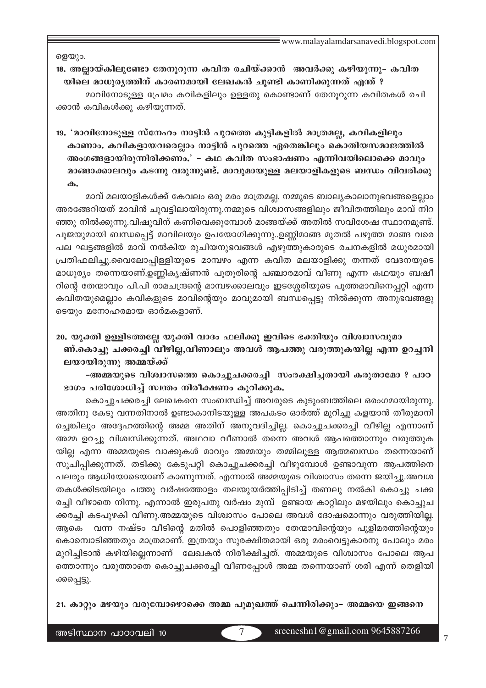ളെയും.

18. അല്ലായ്കിലൂണ്ടോ തേനുറുന്ന കവിത രചിയ്ക്കാൻ അവർക്കു കഴിയുന്നു– കവിത യിലെ മാധുര്യത്തിന് കാരണമായി ലേഖകൻ ചുണ്ടി കാണിക്കുന്നത് എന്ത് ? മാവിനോടുള്ള പ്രേമം കവികളിലും ഉള്ളതു കൊണ്ടാണ് തേനുറുന്ന കവിതകൾ രചി

ക്കാൻ കവികൾക്കു കഴിയുന്നത്.

19. 'മാവിനോടുള്ള സ്നേഹം നാട്ടിൻ പുറത്തെ കുട്ടികളിൽ മാത്രമല്ല, കവികളിലും കാണാം. കവികളായവരെല്ലാം നാട്ടിൻ പുറത്തെ ഏതെങ്കിലും കൊതിയസമാജത്തിൽ അംഗങ്ങളായിരുന്നിരിക്കണം.' – കഥ കവിത സംഭാഷണം എന്നിവയിലൊക്കെ മാവും മാങ്ങാക്കാലവും കടന്നു വരുന്നുണ്ട്. മാവുമായുള്ള മലയാളികളുടെ ബന്ധം വിവരിക്കു  $\boldsymbol{\omega}$ .

മാവ് മലയാളികൾക്ക് കേവലം ഒരു മരം മാത്രമല്ല. നമ്മുടെ ബാല്യകാലാനുഭവങ്ങളെല്ലാം അരങ്ങേറിയത് മാവിൻ ചുവട്ടിലായിരുന്നു.നമ്മുടെ വിശ്വാസങ്ങളിലും ജീവിതത്തിലും മാവ് നിറ ഞ്ഞു നിൽക്കുന്നു.വിഷുവിന് കണിവെക്കുമ്പോൾ മാങ്ങയ്ക്ക് അതിൽ സവിശേഷ സ്ഥാനമുണ്ട്. പൂജയുമായി ബന്ധപ്പെട്ട് മാവിലയും ഉപയോഗിക്കുന്നു..ഉണ്ണിമാങ്ങ മുതൽ പഴുത്ത മാങ്ങ വരെ പല ഘട്ടങ്ങളിൽ മാവ് നൽകിയ രുചിയനുഭവങ്ങൾ എഴുത്തുകാരുടെ രചനകളിൽ മധുരമായി പ്രതിഫലിച്ചു.വൈലോപ്പിള്ളിയുടെ മാമ്പഴം എന്ന കവിത മലയാളിക്കു തന്നത് വേദനയുടെ മാധുര്യം തന്നെയാണ്.ഉണ്ണികൃഷ്ണൻ പുതുരിന്റെ പഞ്ചാരമാവ് വീണു എന്ന കഥയും ബഷീ റിന്റെ തേന്മാവും പി.പി രാമചന്ദ്രന്റെ മാമ്പഴക്കാലവും ഇടശ്ശേരിയുടെ പൂത്തമാവിനെപ്പറ്റി എന്ന കവിതയുമെല്ലാം കവികളുടെ മാവിന്റെയും മാവുമായി ബന്ധപ്പെട്ടു നിൽക്കുന്ന അനുഭവങ്ങളു ടെയും മനോഹരമായ ഓർമകളാണ്.

20, യുക്തി ഉള്ളിടത്തല്ലേ യുക്തി വാദം ഫലിക്കു ഇവിടെ ഭക്തിയും വിശ്വാസവുമാ ണ്.കൊച്ചു ചക്കരച്ചി വീഴില്ല,വീണാലും അവൾ ആപത്തു വരുത്തുകയില്ല എന്ന ഉറച്ചനി ലയായിരുന്നു അമ്മയ്ക്ക്

-അമ്മയുടെ വിശ്വാസത്തെ കൊച്ചുചക്കരച്ചി സംരക്ഷിച്ചതായി കരുതാമോ ? പാഠ ഭാഗം പരിശോധിച്ച് സ്വന്തം നിരീക്ഷണം കുറിക്കുക.

കൊച്ചുചക്കരച്ചി ലേഖകനെ സംബന്ധിച്ച് അവരുടെ കുടുംബത്തിലെ ഒരംഗമായിരുന്നു. അതിനു കേടു വന്നതിനാൽ ഉണ്ടാകാനിടയുള്ള അപകടം ഓർത്ത് മുറിച്ചു കളയാൻ തീരുമാനി ച്ചെങ്കിലും അദ്ദേഹത്തിന്റെ അമ്മ അതിന് അനുവദിച്ചില്ല. കൊച്ചുചക്കരച്ചി വീഴില്ല എന്നാണ് അമ്മ ഉറച്ചു വിശ്വസിക്കുന്നത്. അഥവാ വീണാൽ തന്നെ അവൾ ആപത്തൊന്നും വരുത്തുക യില്ല എന്ന അമ്മയുടെ വാക്കുകൾ മാവും അമ്മയും തമ്മിലുള്ള ആത്മബന്ധം തന്നെയാണ് സൂചിപ്പിക്കുന്നത്. തടിക്കു കേടുപറ്റി കൊച്ചുചക്കരച്ചി വീഴുമ്പോൾ ഉണ്ടാവുന്ന ആപത്തിനെ പലരും ആധിയോടെയാണ് കാണുന്നത്. എന്നാൽ അമ്മയുടെ വിശ്വാസം തന്നെ ജയിച്ചു.അവശ തകൾക്കിടയിലും പത്തു വർഷത്തോളം തലയുയർത്തിപ്പിടിച്ച് തണലു നൽകി കൊച്ചു ചക്ക രച്ചി വീഴാതെ നിന്നു. എന്നാൽ ഇരുപതു വർഷം മുമ്പ് ഉണ്ടായ കാറ്റിലും മഴയിലും കൊച്ചുച ക്കരച്ചി കടപുഴകി വീണു.അമ്മയുടെ വിശ്വാസം പോലെ അവൾ ദോഷമൊന്നും വരുത്തിയില്ല. വന്ന നഷ്ടം വീടിന്റെ മതിൽ പൊളിഞ്ഞതും തേന്മാവിന്റെയും പുളിമരത്തിന്റെയും ആകെ കൊമ്പൊടിഞ്ഞതും മാത്രമാണ്. ഇത്രയും സുരക്ഷിതമായി ഒരു മരംവെട്ടുകാരനു പോലും മരം മുറിച്ചിടാൻ കഴിയില്ലെന്നാണ് ലേഖകൻ നിരീക്ഷിച്ചത്. അമ്മയുടെ വിശ്വാസം പോലെ ആപ ത്തൊന്നും വരുത്താതെ കൊച്ചുചക്കരച്ചി വീണപ്പോൾ അമ്മ തന്നെയാണ് ശരി എന്ന് തെളിയി ക്കപ്പെട്ടു.

21, കാറ്റും മഴയും വരുമ്പോഴൊക്കെ അമ്മ പുമുഖത്ത് ചെന്നിരിക്കും- അമ്മയെ ഇങ്ങനെ

 $\overline{7}$ 

 $\overline{7}$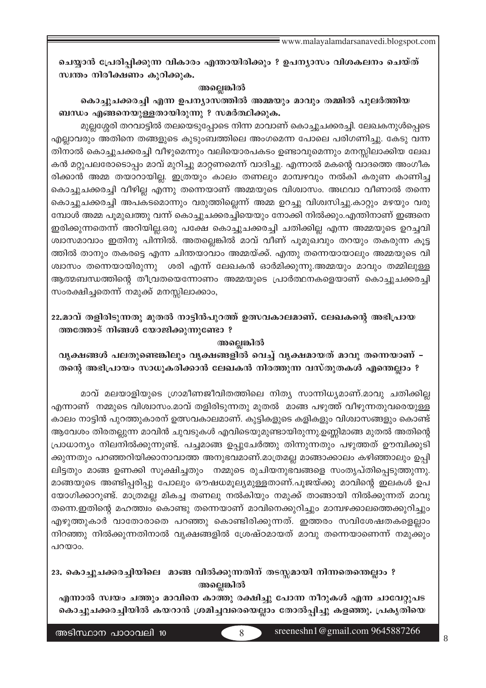ചെയ്യാൻ പ്രേരിപ്പിക്കുന്ന വികാരം എന്തായിരിക്കും ? ഉപന്യാസം വിശകലനം ചെയ്ത് സ്വന്തം നിരീക്ഷണം കുറിക്കുക.

### അല്ലെങ്കിൽ

കൊച്ചുചക്കരച്ചി എന്ന ഉപന്യാസത്തിൽ അമ്മയും മാവും തമ്മിൽ പുലർത്തിയ ബന്ധം എങ്ങനെയുള്ളതായിരുന്നു ? സമർത്ഥിക്കുക.

മുല്ലശ്ശേരി തറവാട്ടിൽ തലയെടുപ്പോടെ നിന്ന മാവാണ് കൊച്ചുചക്കരച്ചി. ലേഖകനുൾപ്പെടെ എല്ലാവരും അതിനെ തങ്ങളുടെ കൂടുംബത്തിലെ അംഗമെന്ന പോലെ പരിഗണിച്ചു. കേടു വന്ന തിനാൽ കൊച്ചുചക്കരച്ചി വീഴുമെന്നും വലിയൊരപകടം ഉണ്ടാവുമെന്നും മനസ്സിലാക്കിയ ലേഖ കൻ മറ്റുപലരോടൊപ്പം മാവ് മുറിച്ചു മാറ്റണമെന്ന് വാദിച്ചു. എന്നാൽ മകന്റെ വാദത്തെ അംഗീക രിക്കാൻ അമ്മ തയാറായില്ല. ഇത്രയും കാലം തണലും മാമ്പഴവും നൽകി കരുണ കാണിച്ച കൊച്ചുചക്കരച്ചി വീഴില്ല എന്നു തന്നെയാണ് അമ്മയുടെ വിശ്വാസം. അഥവാ വീണാൽ തന്നെ കൊച്ചുചക്കരച്ചി അപകടമൊന്നും വരുത്തില്ലെന്ന് അമ്മ ഉറച്ചു വിശ്വസിച്ചു.കാറ്റും മഴയും വരു മ്പോൾ അമ്മ പൂമുഖത്തു വന്ന് കൊച്ചുചക്കരച്ചിയെയും നോക്കി നിൽക്കും.എന്തിനാണ് ഇങ്ങനെ ഇരിക്കുന്നതെന്ന് അറിയില്ല.ഒരു പക്ഷേ കൊച്ചുചക്കരച്ചി ചതിക്കില്ല എന്ന അമ്മയുടെ ഉറച്ചവി ശ്വാസമാവാം ഇതിനു പിന്നിൽ. അതല്ലെങ്കിൽ മാവ് വീണ് പൂമുഖവും തറയും തകരുന്ന കൂട്ട ത്തിൽ താനും തകരട്ടെ എന്ന ചിന്തയാവാം അമ്മയ്ക്ക്. എന്തു തന്നെയായാലും അമ്മയുടെ വി ശ്വാസം തന്നെയായിരുന്നു ശരി എന്ന് ലേഖകൻ ഓർമിക്കുന്നു.അമ്മയും മാവും തമ്മിലുള്ള ആത്മബന്ധത്തിന്റെ തീവ്രതയെന്നോണം അമ്മയുടെ പ്രാർത്ഥനകളെയാണ് കൊച്ചുചക്കരച്ചി സംരക്ഷിച്ചതെന്ന് നമുക്ക് മനസ്സിലാക്കാം,

22,മാവ് തളിരിടുന്നതു മുതൽ നാട്ടിൻപുറത്ത് ഉത്സവകാലമാണ്. ലേഖകന്റെ അഭിപ്രായ ത്തത്തോട് നിങ്ങൾ യോജിക്കുന്നുണ്ടോ ?

#### അല്ലെങ്കിൽ

വൃക്ഷങ്ങൾ പലതുണ്ടെങ്കിലും വൃക്ഷങ്ങളിൽ വെച്ച് വൃക്ഷമായത് മാവു തന്നെയാണ് -തന്റെ അഭിപ്രായം സാധൂകരിക്കാൻ ലേഖകൻ നിരത്തുന്ന വസ്തുതകൾ എന്തെല്ലാം ?

മാവ് മലയാളിയുടെ ഗ്രാമീണജീവിതത്തിലെ നിത്യ സാന്നിധ്യമാണ്.മാവു ചതിക്കില്ല എന്നാണ് നമ്മുടെ വിശ്വാസം.മാവ് തളിരിടുന്നതു മുതൽ മാങ്ങ പഴുത്ത് വീഴുന്നതുവരെയുള്ള കാലം നാട്ടിൻ പുറത്തുകാരന് ഉത്സവകാലമാണ്. കുട്ടികളുടെ കളികളും വിശ്വാസങ്ങളും കൊണ്ട് ആവേശം തിരതല്ലുന്ന മാവിൻ ചുവടുകൾ എവിടെയുമുണ്ടായിരുന്നു.ഉണ്ണിമാങ്ങ മുതൽ അതിന്റെ പ്രാധാന്യം നിലനിൽക്കുന്നുണ്ട്. പച്ചമാങ്ങ ഉപ്പുചേർത്തു തിന്നുന്നതും പഴുത്തത് ഊമ്പിക്കുടി ക്കുന്നതും പറഞ്ഞറിയിക്കാനാവാത്ത അനുഭവമാണ്.മാത്രമല്ല മാങ്ങാക്കാലം കഴിഞ്ഞാലും ഉപ്പി ലിട്ടതും മാങ്ങ ഉണക്കി സൂക്ഷിച്ചതും നമ്മുടെ രുചിയനുഭവങ്ങളെ സംതൃപ്തിപ്പെടുത്തുന്നു. മാങ്ങയുടെ അണ്ടിപ്പരിപ്പു പോലും ഔഷധമൂല്യമുള്ളതാണ്.പൂജയ്ക്കു മാവിന്റെ ഇലകൾ ഉപ യോഗിക്കാറുണ്ട്. മാത്രമല്ല മികച്ച തണലു നൽകിയും നമുക്ക് താങ്ങായി നിൽക്കുന്നത് മാവു തന്നെ.ഇതിന്റെ മഹത്ത്വം കൊണ്ടു തന്നെയാണ് മാവിനെക്കുറിച്ചും മാമ്പഴക്കാലത്തെക്കുറിച്ചും എഴുത്തുകാർ വാതോരാതെ പറഞ്ഞു കൊണ്ടിരിക്കുന്നത്. ഇത്തരം സവിശേഷതകളെല്ലാം നിറഞ്ഞു നിൽക്കുന്നതിനാൽ വൃക്ഷങ്ങളിൽ ശ്രേഷ്ഠമായത് മാവു തന്നെയാണെന്ന് നമുക്കും പറയാം.

23. കൊച്ചുചക്കരച്ചിയിലെ മാങ്ങ വിൽക്കുന്നതിന് തടസ്സമായി നിന്നതെന്തെല്ലാം ? അല്ലെങ്കിൽ

എന്നാൽ സ്വയം ചത്തും മാവിനെ കാത്തു രക്ഷിച്ചു പോന്ന നീറുകൾ എന്ന ചാവേറ്റുപട കൊച്ചുചക്കരച്ചിയിൽ കയറാൻ ശ്രമിച്ചവരെയെല്ലാം തോൽപ്പിച്ചു കളഞ്ഞു. പ്രകൃതിയെ

അടിസ്ഥാന പാഠാവലി 10

 $\overline{R}$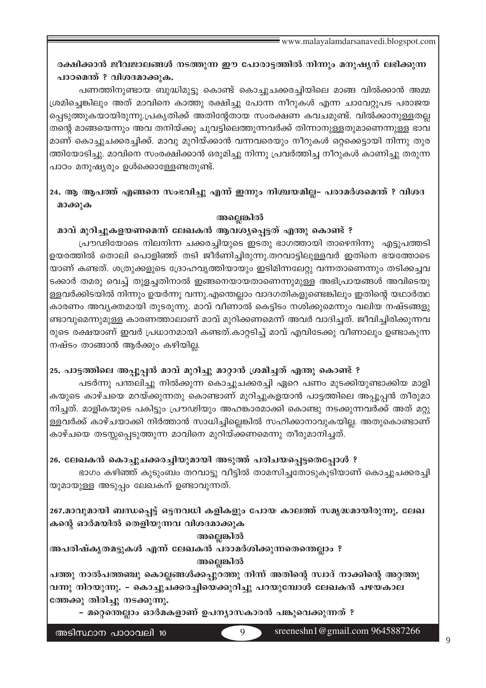# രക്ഷിക്കാൻ ജീവജാലങ്ങൾ നടത്തുന്ന ഈ പോരാട്ടത്തിൽ നിന്നും മനുഷ്യന് ലഭിക്കുന്ന പാഠമെന്ത് ? വിശദമാക്കുക.

പണത്തിനുണ്ടായ ബുദ്ധിമുട്ടു കൊണ്ട് കൊച്ചുചക്കരച്ചിയിലെ മാങ്ങ വിൽക്കാൻ അമ്മ ശ്രമിച്ചെങ്കിലും അത് മാവിനെ കാത്തു രക്ഷിച്ചു പോന്ന നീറുകൾ എന്ന ചാവേറ്റുപട പരാജയ പ്പെടുത്തുകയായിരുന്നു.പ്രകൃതിക്ക് അതിന്റേതായ സംരക്ഷണ കവചമുണ്ട്. വിൽക്കാനുള്ളതല്ല തന്റെ മാങ്ങയെന്നും അവ തനിയ്ക്കു ചുവട്ടിലെത്തുന്നവർക്ക് തിന്നാനുള്ളതുമാണെന്നുള്ള ഭാവ മാണ് കൊച്ചുചക്കരച്ചിക്ക്. മാവു മുറിയ്ക്കാൻ വന്നവരെയും നീറുകൾ ഒറ്റക്കെട്ടായി നിന്നു തുര ത്തിയോടിച്ചു. മാവിനെ സംരക്ഷിക്കാൻ ഒരുമിച്ചു നിന്നു പ്രവർത്തിച്ച നീറുകൾ കാണിച്ചു തരുന്ന പാഠം മനുഷ്യരും ഉൾക്കൊള്ളേണ്ടതുണ്ട്.

# 24. ആ ആപത്ത് എങ്ങനെ സംഭവിച്ചു എന്ന് ഇന്നും നിശ്ചയമില്ല– പരാമർശമെന്ത് ? വിശദ മാക്കുക

### അല്ലെങ്കിൽ

## മാവ് മുറിച്ചുകളയണമെന്ന് ലേഖകൻ ആവശ്യപ്പെട്ടത് എന്തു കൊണ്ട് ?

പ്രൗഢിയോടെ നിലനിന്ന ചക്കരച്ചിയുടെ ഇടതു ഭാഗത്തായി താഴെനിന്നു എട്ടുപത്തടി ഉയരത്തിൽ തൊലി പൊളിഞ്ഞ് തടി ജീർണിച്ചിരുന്നു.തറവാട്ടിലുള്ളവർ ഇതിനെ ഭയത്തോടെ യാണ് കണ്ടത്. ശത്രുക്കളുടെ ദ്രോഹവൃത്തിയായും ഇടിമിന്നലേറ്റു വന്നതാണെന്നും തടിക്കച്ചവ ടക്കാർ തമരു വെച്ച് തുളച്ചതിനാൽ ഇങ്ങനെയായതാണെന്നുമുള്ള അഭിപ്രായങ്ങൾ അവിടെയു ള്ളവർക്കിടയിൽ നിന്നും ഉയർന്നു വന്നു.എന്തെല്ലാം വാദഗതികളുണ്ടെങ്കിലും ഇതിന്റെ യഥാർത്ഥ കാരണം അവ്യക്തമായി തുടരുന്നു. മാവ് വീണാൽ കെട്ടിടം നശിക്കുമെന്നും വലിയ നഷ്ടങ്ങളു ണ്ടാവുമെന്നുമുള്ള കാരണത്താലാണ് മാവ് മുറിക്കണമെന്ന് അവർ വാദിച്ചത്. ജീവിച്ചിരിക്കുന്നവ രുടെ രക്ഷയാണ് ഇവർ പ്രധാനമായി കണ്ടത്.കാറ്റടിച്ച് മാവ് എവിടേക്കു വീണാലും ഉണ്ടാകുന്ന നഷ്ടം താങ്ങാൻ ആർക്കും കഴിയില്ല.

## 25. പാട്ടത്തിലെ അപ്പുപ്പൻ മാവ് മുറിച്ചു മാറ്റാൻ ശ്രമിച്ചത് എന്തു കൊണ്ട് ?

പടർന്നു പന്തലിച്ചു നിൽക്കുന്ന കൊച്ചുചക്കരച്ചി ഏറെ പണം മുടക്കിയുണ്ടാക്കിയ മാളി കയുടെ കാഴ്ചയെ മറയ്ക്കുന്നതു കൊണ്ടാണ് മുറിച്ചുകളയാൻ പാട്ടത്തിലെ അപ്പൂപ്പൻ തീരുമാ നിച്ചത്. മാളികയുടെ പകിട്ടും പ്രൗഢിയും അഹങ്കാരമാക്കി കൊണ്ടു നടക്കുന്നവർക്ക് അത് മറ്റു ള്ളവർക്ക് കാഴ്ചയാക്കി നിർത്താൻ സാധിച്ചില്ലെങ്കിൽ സഹിക്കാനാവുകയില്ല. അതുകൊണ്ടാണ് കാഴ്ചയെ തടസ്സപ്പെടുത്തുന്ന മാവിനെ മുറിയ്ക്കണമെന്നു തീരുമാനിച്ചത്.

## 26. ലേഖകൻ കൊച്ചുചക്കരച്ചിയുമായി അടുത്ത് പരിചയപ്പെട്ടതെപ്പോൾ ?

ഭാഗം കഴിഞ്ഞ് കുടുംബം തറവാട്ടു വീട്ടിൽ താമസിച്ചതോടുകൂടിയാണ് കൊച്ചുചക്കരച്ചി യുമായുള്ള അടുപ്പം ലേഖകന് ഉണ്ടാവുന്നത്.

267.മാവുമായി ബന്ധപ്പെട്ട് ഒട്ടനവധി കളികളും പോയ കാലത്ത് സമൃദ്ധമായിരുന്നു. ലേഖ കന്റെ ഓർമയിൽ തെളിയുന്നവ വിശദമാക്കുക

### അല്ലെങ്കിൽ

അപരിഷ്കൃതമട്ടുകൾ എന്ന് ലേഖകൻ പരാമർശിക്കുന്നതെന്തെല്ലാം ? അല്ലെങ്കിൽ

പത്തു നാൽപത്തഞ്ചു കൊല്ലങ്ങൾക്കപ്പുറത്തു നിന്ന് അതിന്റെ സ്വാദ് നാക്കിന്റെ അറ്റത്തു വന്നു നിറയുന്നു. – കൊച്ചുചക്കരച്ചിയെക്കുറിച്ചു പറയുമ്പോൾ ലേഖകൻ പഴയകാല ത്തേക്കു തിരിച്ചു നടക്കുന്നു.

– മറ്റെന്തെല്ലാം ഓർമകളാണ് ഉപന്യാസകാരൻ പങ്കുവെക്കുന്നത് ?

 $\overline{Q}$